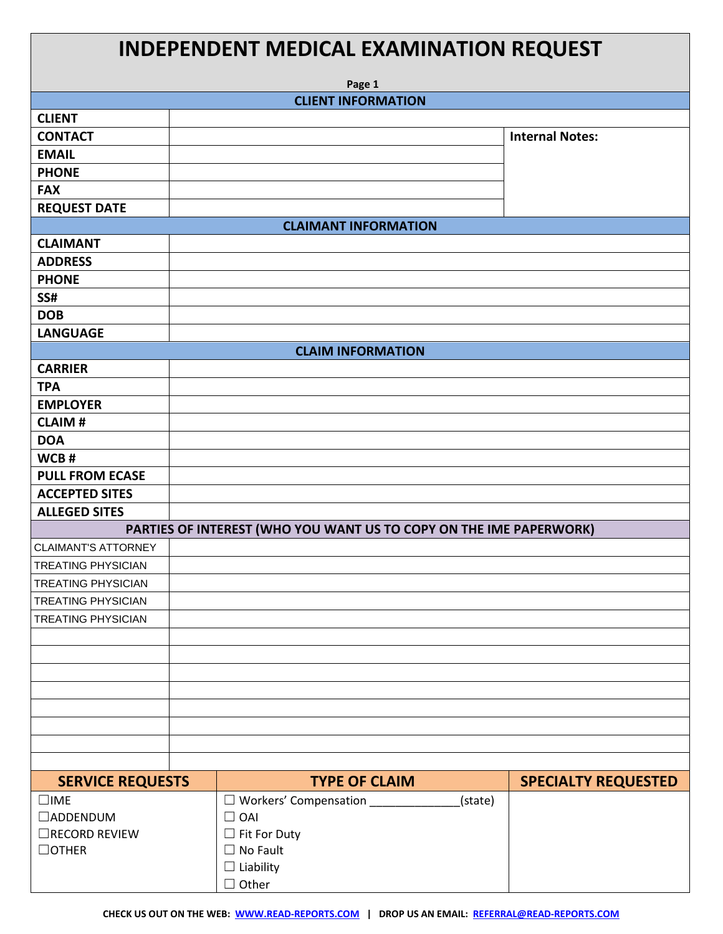| <b>INDEPENDENT MEDICAL EXAMINATION REQUEST</b><br>Page 1           |                                           |                            |  |
|--------------------------------------------------------------------|-------------------------------------------|----------------------------|--|
|                                                                    | <b>CLIENT INFORMATION</b>                 |                            |  |
| <b>CLIENT</b>                                                      |                                           |                            |  |
| <b>CONTACT</b>                                                     |                                           | <b>Internal Notes:</b>     |  |
| <b>EMAIL</b>                                                       |                                           |                            |  |
| <b>PHONE</b>                                                       |                                           |                            |  |
| <b>FAX</b>                                                         |                                           |                            |  |
| <b>REQUEST DATE</b>                                                |                                           |                            |  |
| <b>CLAIMANT INFORMATION</b>                                        |                                           |                            |  |
| <b>CLAIMANT</b>                                                    |                                           |                            |  |
| <b>ADDRESS</b>                                                     |                                           |                            |  |
| <b>PHONE</b>                                                       |                                           |                            |  |
| SS#                                                                |                                           |                            |  |
| <b>DOB</b>                                                         |                                           |                            |  |
| <b>LANGUAGE</b>                                                    |                                           |                            |  |
|                                                                    | <b>CLAIM INFORMATION</b>                  |                            |  |
| <b>CARRIER</b>                                                     |                                           |                            |  |
| <b>TPA</b>                                                         |                                           |                            |  |
| <b>EMPLOYER</b>                                                    |                                           |                            |  |
| <b>CLAIM#</b>                                                      |                                           |                            |  |
| <b>DOA</b>                                                         |                                           |                            |  |
| WCB#                                                               |                                           |                            |  |
| <b>PULL FROM ECASE</b>                                             |                                           |                            |  |
| <b>ACCEPTED SITES</b>                                              |                                           |                            |  |
| <b>ALLEGED SITES</b>                                               |                                           |                            |  |
| PARTIES OF INTEREST (WHO YOU WANT US TO COPY ON THE IME PAPERWORK) |                                           |                            |  |
| <b>CLAIMANT'S ATTORNEY</b>                                         |                                           |                            |  |
| <b>TREATING PHYSICIAN</b>                                          |                                           |                            |  |
| <b>TREATING PHYSICIAN</b>                                          |                                           |                            |  |
| <b>TREATING PHYSICIAN</b>                                          |                                           |                            |  |
| <b>TREATING PHYSICIAN</b>                                          |                                           |                            |  |
|                                                                    |                                           |                            |  |
|                                                                    |                                           |                            |  |
|                                                                    |                                           |                            |  |
|                                                                    |                                           |                            |  |
|                                                                    |                                           |                            |  |
|                                                                    |                                           |                            |  |
|                                                                    |                                           |                            |  |
|                                                                    |                                           |                            |  |
| <b>SERVICE REQUESTS</b>                                            | <b>TYPE OF CLAIM</b>                      | <b>SPECIALTY REQUESTED</b> |  |
| $\square$ IME                                                      | $\Box$ Workers' Compensation _<br>(state) |                            |  |
| $\Box$ ADDENDUM                                                    | $\Box$ OAI                                |                            |  |

☐ Fit For Duty ☐ No Fault  $\square$  Liability ☐ Other

 $\Box$ RECORD REVIEW

☐OTHER